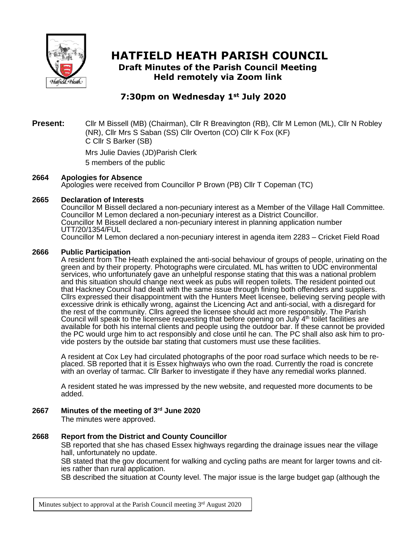

# **HATFIELD HEATH PARISH COUNCIL**

**Draft Minutes of the Parish Council Meeting Held remotely via Zoom link**

# **7:30pm on Wednesday 1st July 2020**

# **Present:** Cllr M Bissell (MB) (Chairman), Cllr R Breavington (RB), Cllr M Lemon (ML), Cllr N Robley (NR), Cllr Mrs S Saban (SS) Cllr Overton (CO) Cllr K Fox (KF) C Cllr S Barker (SB)

Mrs Julie Davies (JD)Parish Clerk 5 members of the public

# **2664 Apologies for Absence**

Apologies were received from Councillor P Brown (PB) Cllr T Copeman (TC)

#### **2665 Declaration of Interests**

Councillor M Bissell declared a non-pecuniary interest as a Member of the Village Hall Committee. Councillor M Lemon declared a non-pecuniary interest as a District Councillor. Councillor M Bissell declared a non-pecuniary interest in planning application number UTT/20/1354/FUL Councillor M Lemon declared a non-pecuniary interest in agenda item 2283 – Cricket Field Road

#### **2666 Public Participation**

A resident from The Heath explained the anti-social behaviour of groups of people, urinating on the green and by their property. Photographs were circulated. ML has written to UDC environmental services, who unfortunately gave an unhelpful response stating that this was a national problem and this situation should change next week as pubs will reopen toilets. The resident pointed out that Hackney Council had dealt with the same issue through fining both offenders and suppliers. Cllrs expressed their disappointment with the Hunters Meet licensee, believing serving people with excessive drink is ethically wrong, against the Licencing Act and anti-social, with a disregard for the rest of the community. Cllrs agreed the licensee should act more responsibly. The Parish Council will speak to the licensee requesting that before opening on July  $4<sup>th</sup>$  toilet facilities are available for both his internal clients and people using the outdoor bar. If these cannot be provided the PC would urge him to act responsibly and close until he can. The PC shall also ask him to provide posters by the outside bar stating that customers must use these facilities.

A resident at Cox Ley had circulated photographs of the poor road surface which needs to be replaced. SB reported that it is Essex highways who own the road. Currently the road is concrete with an overlay of tarmac. Cllr Barker to investigate if they have any remedial works planned.

A resident stated he was impressed by the new website, and requested more documents to be added.

# **2667 Minutes of the meeting of 3 rd June 2020**

The minutes were approved.

#### **2668 Report from the District and County Councillor**

SB reported that she has chased Essex highways regarding the drainage issues near the village hall, unfortunately no update.

SB stated that the gov document for walking and cycling paths are meant for larger towns and cities rather than rural application.

SB described the situation at County level. The major issue is the large budget gap (although the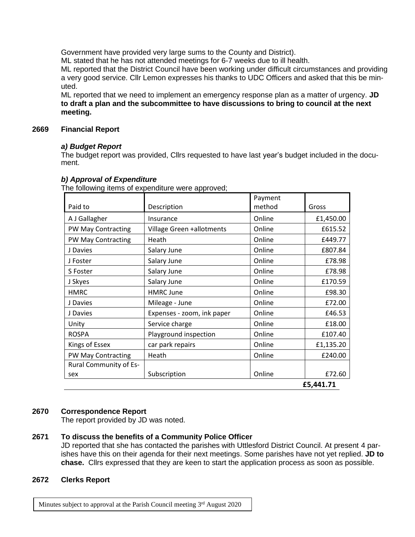Government have provided very large sums to the County and District).

ML stated that he has not attended meetings for 6-7 weeks due to ill health.

ML reported that the District Council have been working under difficult circumstances and providing a very good service. Cllr Lemon expresses his thanks to UDC Officers and asked that this be minuted.

ML reported that we need to implement an emergency response plan as a matter of urgency. **JD to draft a plan and the subcommittee to have discussions to bring to council at the next meeting.**

#### **2669 Financial Report**

# *a) Budget Report*

The budget report was provided, Cllrs requested to have last year's budget included in the document.

|                               |                            | Payment |           |  |
|-------------------------------|----------------------------|---------|-----------|--|
| Paid to                       | Description                | method  | Gross     |  |
| A J Gallagher                 | Insurance                  | Online  | £1,450.00 |  |
| <b>PW May Contracting</b>     | Village Green +allotments  | Online  | £615.52   |  |
| <b>PW May Contracting</b>     | Heath                      | Online  | £449.77   |  |
| J Davies                      | Salary June                | Online  | £807.84   |  |
| J Foster                      | Salary June                | Online  | £78.98    |  |
| S Foster                      | Salary June                | Online  | £78.98    |  |
| J Skyes                       | Salary June                | Online  | £170.59   |  |
| <b>HMRC</b>                   | <b>HMRC June</b>           | Online  | £98.30    |  |
| J Davies                      | Mileage - June             | Online  | £72.00    |  |
| J Davies                      | Expenses - zoom, ink paper | Online  | £46.53    |  |
| Unity                         | Service charge             | Online  | £18.00    |  |
| <b>ROSPA</b>                  | Playground inspection      | Online  | £107.40   |  |
| Kings of Essex                | car park repairs           | Online  | £1,135.20 |  |
| PW May Contracting            | Heath                      | Online  | £240.00   |  |
| <b>Rural Community of Es-</b> |                            |         |           |  |
| sex                           | Subscription               | Online  | £72.60    |  |
|                               |                            |         | £5,441.71 |  |

# *b) Approval of Expenditure*

The following items of expenditure were approved;

# **2670 Correspondence Report**

The report provided by JD was noted.

# **2671 To discuss the benefits of a Community Police Officer**

JD reported that she has contacted the parishes with Uttlesford District Council. At present 4 parishes have this on their agenda for their next meetings. Some parishes have not yet replied. **JD to chase.** Cllrs expressed that they are keen to start the application process as soon as possible.

#### **2672 Clerks Report**

Minutes subject to approval at the Parish Council meeting 3<sup>rd</sup> August 2020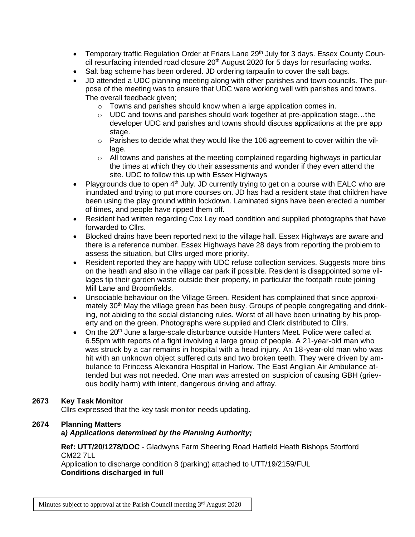- Temporary traffic Regulation Order at Friars Lane 29<sup>th</sup> July for 3 days. Essex County Council resurfacing intended road closure 20<sup>th</sup> August 2020 for 5 days for resurfacing works.
- Salt bag scheme has been ordered. JD ordering tarpaulin to cover the salt bags.
- JD attended a UDC planning meeting along with other parishes and town councils. The purpose of the meeting was to ensure that UDC were working well with parishes and towns. The overall feedback given;
	- o Towns and parishes should know when a large application comes in.
	- $\circ$  UDC and towns and parishes should work together at pre-application stage...the developer UDC and parishes and towns should discuss applications at the pre app stage.
	- $\circ$  Parishes to decide what they would like the 106 agreement to cover within the village.
	- $\circ$  All towns and parishes at the meeting complained regarding highways in particular the times at which they do their assessments and wonder if they even attend the site. UDC to follow this up with Essex Highways
- Playgrounds due to open  $4<sup>th</sup>$  July. JD currently trying to get on a course with EALC who are inundated and trying to put more courses on. JD has had a resident state that children have been using the play ground within lockdown. Laminated signs have been erected a number of times, and people have ripped them off.
- Resident had written regarding Cox Ley road condition and supplied photographs that have forwarded to Cllrs.
- Blocked drains have been reported next to the village hall. Essex Highways are aware and there is a reference number. Essex Highways have 28 days from reporting the problem to assess the situation, but Cllrs urged more priority.
- Resident reported they are happy with UDC refuse collection services. Suggests more bins on the heath and also in the village car park if possible. Resident is disappointed some villages tip their garden waste outside their property, in particular the footpath route joining Mill Lane and Broomfields.
- Unsociable behaviour on the Village Green. Resident has complained that since approximately 30<sup>th</sup> May the village green has been busy. Groups of people congregating and drinking, not abiding to the social distancing rules. Worst of all have been urinating by his property and on the green. Photographs were supplied and Clerk distributed to Cllrs.
- On the  $20<sup>th</sup>$  June a large-scale disturbance outside Hunters Meet. Police were called at 6.55pm with reports of a fight involving a large group of people. A 21-year-old man who was struck by a car remains in hospital with a head injury. An 18-year-old man who was hit with an unknown object suffered cuts and two broken teeth. They were driven by ambulance to Princess Alexandra Hospital in Harlow. The East Anglian Air Ambulance attended but was not needed. One man was arrested on suspicion of causing GBH (grievous bodily harm) with intent, dangerous driving and affray.

# **2673 Key Task Monitor**

Cllrs expressed that the key task monitor needs updating.

# **2674 Planning Matters**

# **a***) Applications determined by the Planning Authority;*

**Ref: UTT/20/1278/DOC** - Gladwyns Farm Sheering Road Hatfield Heath Bishops Stortford CM22 7LL

Application to discharge condition 8 (parking) attached to UTT/19/2159/FUL **Conditions discharged in full**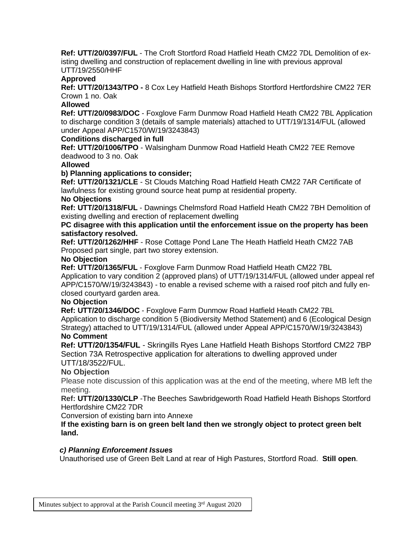**Ref: UTT/20/0397/FUL** - The Croft Stortford Road Hatfield Heath CM22 7DL Demolition of existing dwelling and construction of replacement dwelling in line with previous approval UTT/19/2550/HHF

# **Approved**

**Ref: UTT/20/1343/TPO -** 8 Cox Ley Hatfield Heath Bishops Stortford Hertfordshire CM22 7ER Crown 1 no. Oak

# **Allowed**

**Ref: UTT/20/0983/DOC** - Foxglove Farm Dunmow Road Hatfield Heath CM22 7BL Application to discharge condition 3 (details of sample materials) attached to UTT/19/1314/FUL (allowed under Appeal APP/C1570/W/19/3243843)

# **Conditions discharged in full**

**Ref: UTT/20/1006/TPO** - Walsingham Dunmow Road Hatfield Heath CM22 7EE Remove deadwood to 3 no. Oak

# **Allowed**

# **b) Planning applications to consider;**

**Ref: UTT/20/1321/CLE** - St Clouds Matching Road Hatfield Heath CM22 7AR Certificate of lawfulness for existing ground source heat pump at residential property.

#### **No Objections**

**Ref: UTT/20/1318/FUL** - Dawnings Chelmsford Road Hatfield Heath CM22 7BH Demolition of existing dwelling and erection of replacement dwelling

# **PC disagree with this application until the enforcement issue on the property has been satisfactory resolved.**

**Ref: UTT/20/1262/HHF** - Rose Cottage Pond Lane The Heath Hatfield Heath CM22 7AB Proposed part single, part two storey extension.

#### **No Objection**

**Ref: UTT/20/1365/FUL** - Foxglove Farm Dunmow Road Hatfield Heath CM22 7BL Application to vary condition 2 (approved plans) of UTT/19/1314/FUL (allowed under appeal ref APP/C1570/W/19/3243843) - to enable a revised scheme with a raised roof pitch and fully enclosed courtyard garden area.

#### **No Objection**

**Ref: UTT/20/1346/DOC** - Foxglove Farm Dunmow Road Hatfield Heath CM22 7BL Application to discharge condition 5 (Biodiversity Method Statement) and 6 (Ecological Design Strategy) attached to UTT/19/1314/FUL (allowed under Appeal APP/C1570/W/19/3243843) **No Comment**

**Ref: UTT/20/1354/FUL** - Skringills Ryes Lane Hatfield Heath Bishops Stortford CM22 7BP Section 73A Retrospective application for alterations to dwelling approved under UTT/18/3522/FUL.

# **No Objection**

Please note discussion of this application was at the end of the meeting, where MB left the meeting.

**Ref: UTT/20/1330/CLP** -The Beeches Sawbridgeworth Road Hatfield Heath Bishops Stortford Hertfordshire CM22 7DR

#### Conversion of existing barn into Annexe

**If the existing barn is on green belt land then we strongly object to protect green belt land.**

#### *c) Planning Enforcement Issues*

Unauthorised use of Green Belt Land at rear of High Pastures, Stortford Road. **Still open**.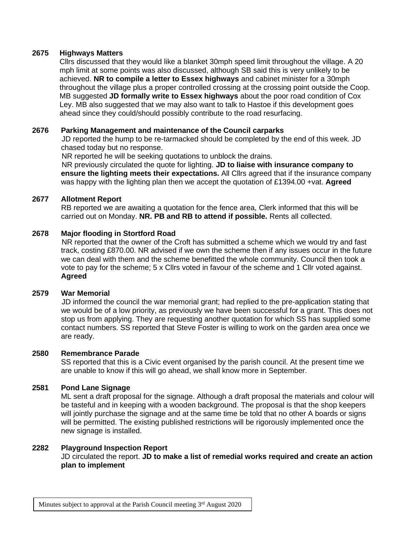# **2675 Highways Matters**

Cllrs discussed that they would like a blanket 30mph speed limit throughout the village. A 20 mph limit at some points was also discussed, although SB said this is very unlikely to be achieved. **NR to compile a letter to Essex highways** and cabinet minister for a 30mph throughout the village plus a proper controlled crossing at the crossing point outside the Coop. MB suggested **JD formally write to Essex highways** about the poor road condition of Cox Ley. MB also suggested that we may also want to talk to Hastoe if this development goes ahead since they could/should possibly contribute to the road resurfacing.

# **2676 Parking Management and maintenance of the Council carparks**

JD reported the hump to be re-tarmacked should be completed by the end of this week. JD chased today but no response.

NR reported he will be seeking quotations to unblock the drains.

NR previously circulated the quote for lighting. **JD to liaise with insurance company to ensure the lighting meets their expectations.** All Cllrs agreed that if the insurance company was happy with the lighting plan then we accept the quotation of £1394.00 +vat. **Agreed**

#### **2677 Allotment Report**

RB reported we are awaiting a quotation for the fence area, Clerk informed that this will be carried out on Monday. **NR. PB and RB to attend if possible.** Rents all collected.

#### **2678 Major flooding in Stortford Road**

NR reported that the owner of the Croft has submitted a scheme which we would try and fast track, costing £870.00. NR advised if we own the scheme then if any issues occur in the future we can deal with them and the scheme benefitted the whole community. Council then took a vote to pay for the scheme; 5 x Cllrs voted in favour of the scheme and 1 Cllr voted against. **Agreed**

#### **2579 War Memorial**

JD informed the council the war memorial grant; had replied to the pre-application stating that we would be of a low priority, as previously we have been successful for a grant. This does not stop us from applying. They are requesting another quotation for which SS has supplied some contact numbers. SS reported that Steve Foster is willing to work on the garden area once we are ready.

#### **2580 Remembrance Parade**

SS reported that this is a Civic event organised by the parish council. At the present time we are unable to know if this will go ahead, we shall know more in September.

# **2581 Pond Lane Signage**

ML sent a draft proposal for the signage. Although a draft proposal the materials and colour will be tasteful and in keeping with a wooden background. The proposal is that the shop keepers will jointly purchase the signage and at the same time be told that no other A boards or signs will be permitted. The existing published restrictions will be rigorously implemented once the new signage is installed.

#### **2282 Playground Inspection Report**

JD circulated the report. **JD to make a list of remedial works required and create an action plan to implement**